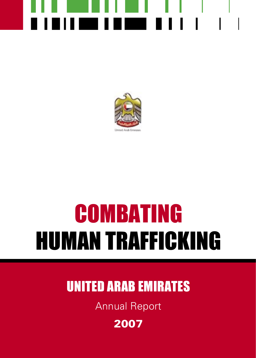

## COMBATING HUMAN TRAFFICKING

### UNITED ARAB EMIRATES

Annual Report

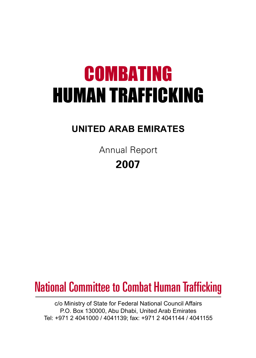## COMBATING HUMAN TRAFFICKING

### **UNITED ARAB EMIRATES**

Annual Report **2007**

### National Committee to Combat Human Trafficking

c/o Ministry of State for Federal National Council Affairs P.O. Box 130000, Abu Dhabi, United Arab Emirates Tel: +971 2 4041000 / 4041139; fax: +971 2 4041144 / 4041155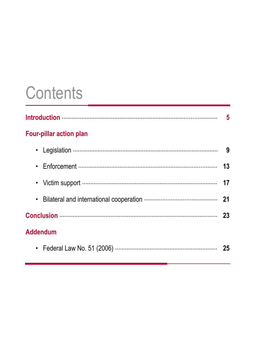### **Contents**

| <b>Four-pillar action plan</b> |    |
|--------------------------------|----|
| ٠                              |    |
|                                |    |
|                                |    |
| $\bullet$                      |    |
|                                |    |
| <b>Addendum</b>                |    |
|                                | 25 |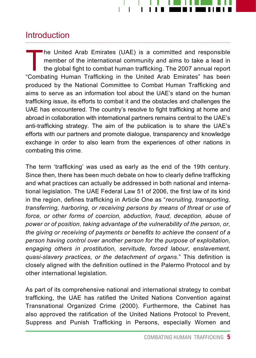

#### **Introduction**

The United Arab Emirates (UAE) is a committed and responsible<br>member of the international community and aims to take a lead in<br>the global fight to combat human trafficking. The 2007 annual report<br>"Combating Human Trafficki member of the international community and aims to take a lead in the global fight to combat human trafficking. The 2007 annual report "Combating Human Trafficking in the United Arab Emirates" has been produced by the National Committee to Combat Human Trafficking and aims to serve as an information tool about the UAE's stand on the human trafficking issue, its efforts to combat it and the obstacles and challenges the UAE has encountered. The country's resolve to fight trafficking at home and abroad in collaboration with international partners remains central to the UAE's anti-trafficking strategy. The aim of the publication is to share the UAE's efforts with our partners and promote dialogue, transparency and knowledge exchange in order to also learn from the experiences of other nations in combating this crime.

The term 'trafficking' was used as early as the end of the 19th century. Since then, there has been much debate on how to clearly define trafficking and what practices can actually be addressed in both national and international legislation. The UAE Federal Law 51 of 2006, the first law of its kind in the region, defines trafficking in Article One as "*recruiting, transporting, transferring, harboring, or receiving persons by means of threat or use of force, or other forms of coercion, abduction, fraud, deception, abuse of power or of position, taking advantage of the vulnerability of the person, or, the giving or receiving of payments or benefits to achieve the consent of a person having control over another person for the purpose of exploitation, engaging others in prostitution, servitude, forced labour, enslavement, quasi-slavery practices, or the detachment of organs.*" This definition is closely aligned with the definition outlined in the Palermo Protocol and by other international legislation.

As part of its comprehensive national and international strategy to combat trafficking, the UAE has ratified the United Nations Convention against Transnational Organized Crime (2000). Furthermore, the Cabinet has also approved the ratification of the United Nations Protocol to Prevent, Suppress and Punish Trafficking in Persons, especially Women and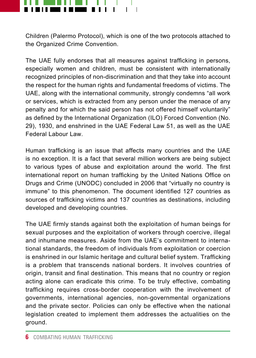

Children (Palermo Protocol), which is one of the two protocols attached to the Organized Crime Convention.

The UAE fully endorses that all measures against trafficking in persons, especially women and children, must be consistent with internationally recognized principles of non-discrimination and that they take into account the respect for the human rights and fundamental freedoms of victims. The UAE, along with the international community, strongly condemns "all work or services, which is extracted from any person under the menace of any penalty and for which the said person has not offered himself voluntarily" as defined by the International Organization (ILO) Forced Convention (No. 29), 1930, and enshrined in the UAE Federal Law 51, as well as the UAE Federal Labour Law.

Human trafficking is an issue that affects many countries and the UAE is no exception. It is a fact that several million workers are being subject to various types of abuse and exploitation around the world. The first international report on human trafficking by the United Nations Office on Drugs and Crime (UNODC) concluded in 2006 that "virtually no country is immune" to this phenomenon. The document identified 127 countries as sources of trafficking victims and 137 countries as destinations, including developed and developing countries.

The UAE firmly stands against both the exploitation of human beings for sexual purposes and the exploitation of workers through coercive, illegal and inhumane measures. Aside from the UAE's commitment to international standards, the freedom of individuals from exploitation or coercion is enshrined in our Islamic heritage and cultural belief system. Trafficking is a problem that transcends national borders. It involves countries of origin, transit and final destination. This means that no country or region acting alone can eradicate this crime. To be truly effective, combating trafficking requires cross-border cooperation with the involvement of governments, international agencies, non-governmental organizations and the private sector. Policies can only be effective when the national legislation created to implement them addresses the actualities on the ground.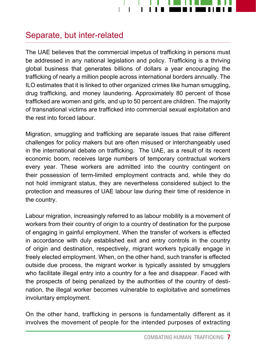

#### Separate, but inter-related

The UAE believes that the commercial impetus of trafficking in persons must be addressed in any national legislation and policy. Trafficking is a thriving global business that generates billions of dollars a year encouraging the trafficking of nearly a million people across international borders annually. The ILO estimates that it is linked to other organized crimes like human smuggling, drug trafficking, and money laundering. Approximately 80 percent of those trafficked are women and girls, and up to 50 percent are children. The majority of transnational victims are trafficked into commercial sexual exploitation and the rest into forced labour.

Migration, smuggling and trafficking are separate issues that raise different challenges for policy makers but are often misused or interchangeably used in the international debate on trafficking. The UAE, as a result of its recent economic boom, receives large numbers of temporary contractual workers every year. These workers are admitted into the country contingent on their possession of term-limited employment contracts and, while they do not hold immigrant status, they are nevertheless considered subject to the protection and measures of UAE labour law during their time of residence in the country.

Labour migration, increasingly referred to as labour mobility is a movement of workers from their country of origin to a country of destination for the purpose of engaging in gainful employment. When the transfer of workers is effected in accordance with duly established exit and entry controls in the country of origin and destination, respectively, migrant workers typically engage in freely elected employment. When, on the other hand, such transfer is effected outside due process, the migrant worker is typically assisted by smugglers who facilitate illegal entry into a country for a fee and disappear. Faced with the prospects of being penalized by the authorities of the country of destination, the illegal worker becomes vulnerable to exploitative and sometimes involuntary employment.

On the other hand, trafficking in persons is fundamentally different as it involves the movement of people for the intended purposes of extracting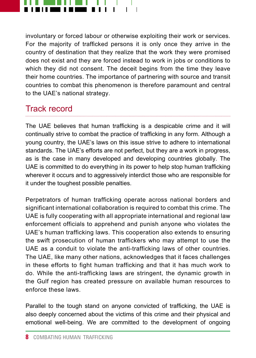

involuntary or forced labour or otherwise exploiting their work or services. For the majority of trafficked persons it is only once they arrive in the country of destination that they realize that the work they were promised does not exist and they are forced instead to work in jobs or conditions to which they did not consent. The deceit begins from the time they leave their home countries. The importance of partnering with source and transit countries to combat this phenomenon is therefore paramount and central to the UAE's national strategy.

#### Track record

The UAE believes that human trafficking is a despicable crime and it will continually strive to combat the practice of trafficking in any form. Although a young country, the UAE's laws on this issue strive to adhere to international standards. The UAE's efforts are not perfect, but they are a work in progress, as is the case in many developed and developing countries globally. The UAE is committed to do everything in its power to help stop human trafficking wherever it occurs and to aggressively interdict those who are responsible for it under the toughest possible penalties.

Perpetrators of human trafficking operate across national borders and significant international collaboration is required to combat this crime. The UAE is fully cooperating with all appropriate international and regional law enforcement officials to apprehend and punish anyone who violates the UAE's human trafficking laws. This cooperation also extends to ensuring the swift prosecution of human traffickers who may attempt to use the UAE as a conduit to violate the anti-trafficking laws of other countries. The UAE, like many other nations, acknowledges that it faces challenges in these efforts to fight human trafficking and that it has much work to do. While the anti-trafficking laws are stringent, the dynamic growth in the Gulf region has created pressure on available human resources to enforce these laws.

Parallel to the tough stand on anyone convicted of trafficking, the UAE is also deeply concerned about the victims of this crime and their physical and emotional well-being. We are committed to the development of ongoing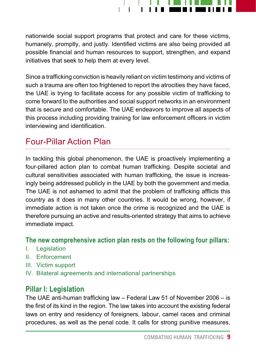

nationwide social support programs that protect and care for these victims, humanely, promptly, and justly. Identified victims are also being provided all possible financial and human resources to support, strengthen, and expand initiatives that seek to help them at every level.

Since a trafficking conviction is heavily reliant on victim testimony and victims of such a trauma are often too frightened to report the atrocities they have faced, the UAE is trying to facilitate access for any possible victim of trafficking to come forward to the authorities and social support networks in an environment that is secure and comfortable. The UAE endeavors to improve all aspects of this process including providing training for law enforcement officers in victim interviewing and identification.

#### Four-Pillar Action Plan

In tackling this global phenomenon, the UAE is proactively implementing a four-pillared action plan to combat human trafficking. Despite societal and cultural sensitivities associated with human trafficking, the issue is increasingly being addressed publicly in the UAE by both the government and media. The UAE is not ashamed to admit that the problem of trafficking afflicts this country as it does in many other countries. It would be wrong, however, if immediate action is not taken once the crime is recognized and the UAE is therefore pursuing an active and results-oriented strategy that aims to achieve immediate impact.

#### **The new comprehensive action plan rests on the following four pillars:**

- I. Legislation
- II. Enforcement
- III. Victim support
- IV. Bilateral agreements and international partnerships

#### **Pillar I: Legislation**

The UAE anti-human trafficking law – Federal Law 51 of November 2006 – is the first of its kind in the region. The law takes into account the existing federal laws on entry and residency of foreigners, labour, camel races and criminal procedures, as well as the penal code. It calls for strong punitive measures,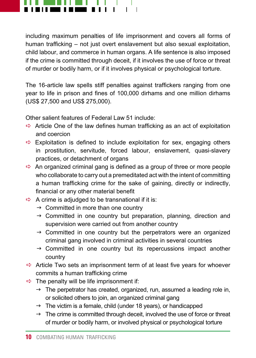

including maximum penalties of life imprisonment and covers all forms of human trafficking – not just overt enslavement but also sexual exploitation, child labour, and commerce in human organs. A life sentence is also imposed if the crime is committed through deceit, if it involves the use of force or threat of murder or bodily harm, or if it involves physical or psychological torture.

The 16-article law spells stiff penalties against traffickers ranging from one year to life in prison and fines of 100,000 dirhams and one million dirhams (US\$ 27,500 and US\$ 275,000).

Other salient features of Federal Law 51 include:

- $\Rightarrow$  Article One of the law defines human trafficking as an act of exploitation and coercion
- $\Rightarrow$  Exploitation is defined to include exploitation for sex, engaging others in prostitution, servitude, forced labour, enslavement, quasi-slavery practices, or detachment of organs
- $\Rightarrow$  An organized criminal gang is defined as a group of three or more people who collaborate to carry out a premeditated act with the intent of committing a human trafficking crime for the sake of gaining, directly or indirectly, financial or any other material benefit
- $\Rightarrow$  A crime is adjudged to be transnational if it is:
	- $\rightarrow$  Committed in more than one country
	- $\rightarrow$  Committed in one country but preparation, planning, direction and supervision were carried out from another country
	- $\rightarrow$  Committed in one country but the perpetrators were an organized criminal gang involved in criminal activities in several countries
	- $\rightarrow$  Committed in one country but its repercussions impact another country
- $\Rightarrow$  Article Two sets an imprisonment term of at least five years for whoever commits a human trafficking crime
- $\Rightarrow$  The penalty will be life imprisonment if:
	- $\rightarrow$  The perpetrator has created, organized, run, assumed a leading role in, or solicited others to join, an organized criminal gang
	- $\rightarrow$  The victim is a female, child (under 18 years), or handicapped
	- $\rightarrow$  The crime is committed through deceit, involved the use of force or threat of murder or bodily harm, or involved physical or psychological torture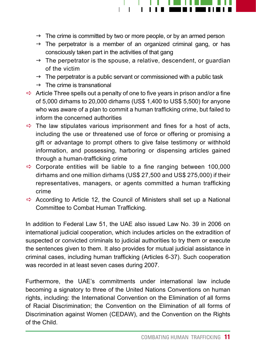

- $\rightarrow$  The crime is committed by two or more people, or by an armed person
- $\rightarrow$  The perpetrator is a member of an organized criminal gang, or has consciously taken part in the activities of that gang
- $\rightarrow$  The perpetrator is the spouse, a relative, descendent, or quardian of the victim
- $\rightarrow$  The perpetrator is a public servant or commissioned with a public task
- $\rightarrow$  The crime is transnational
- $\Rightarrow$  Article Three spells out a penalty of one to five years in prison and/or a fine of 5,000 dirhams to 20,000 dirhams (US\$ 1,400 to US\$ 5,500) for anyone who was aware of a plan to commit a human trafficking crime, but failed to inform the concerned authorities
- $\Rightarrow$  The law stipulates various imprisonment and fines for a host of acts, including the use or threatened use of force or offering or promising a gift or advantage to prompt others to give false testimony or withhold information, and possessing, harboring or dispensing articles gained through a human-trafficking crime
- $\Rightarrow$  Corporate entities will be liable to a fine ranging between 100,000 dirhams and one million dirhams (US\$ 27,500 and US\$ 275,000) if their representatives, managers, or agents committed a human trafficking crime
- $\Rightarrow$  According to Article 12, the Council of Ministers shall set up a National Committee to Combat Human Trafficking.

In addition to Federal Law 51, the UAE also issued Law No. 39 in 2006 on international judicial cooperation, which includes articles on the extradition of suspected or convicted criminals to judicial authorities to try them or execute the sentences given to them. It also provides for mutual judicial assistance in criminal cases, including human trafficking (Articles 6-37). Such cooperation was recorded in at least seven cases during 2007.

Furthermore, the UAE's commitments under international law include becoming a signatory to three of the United Nations Conventions on human rights, including: the International Convention on the Elimination of all forms of Racial Discrimination; the Convention on the Elimination of all forms of Discrimination against Women (CEDAW), and the Convention on the Rights of the Child.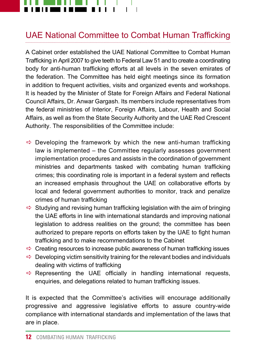

#### UAE National Committee to Combat Human Trafficking

A Cabinet order established the UAE National Committee to Combat Human Trafficking in April 2007 to give teeth to Federal Law 51 and to create a coordinating body for anti-human trafficking efforts at all levels in the seven emirates of the federation. The Committee has held eight meetings since its formation in addition to frequent activities, visits and organized events and workshops. It is headed by the Minister of State for Foreign Affairs and Federal National Council Affairs, Dr. Anwar Gargash. Its members include representatives from the federal ministries of Interior, Foreign Affairs, Labour, Health and Social Affairs, as well as from the State Security Authority and the UAE Red Crescent Authority. The responsibilities of the Committee include:

- $\Rightarrow$  Developing the framework by which the new anti-human trafficking law is implemented – the Committee regularly assesses government implementation procedures and assists in the coordination of government ministries and departments tasked with combating human trafficking crimes; this coordinating role is important in a federal system and reflects an increased emphasis throughout the UAE on collaborative efforts by local and federal government authorities to monitor, track and penalize crimes of human trafficking
- $\Rightarrow$  Studying and revising human trafficking legislation with the aim of bringing the UAE efforts in line with international standards and improving national legislation to address realities on the ground; the committee has been authorized to prepare reports on efforts taken by the UAE to fight human trafficking and to make recommendations to the Cabinet
- $\Rightarrow$  Creating resources to increase public awareness of human trafficking issues
- $\Rightarrow$  Developing victim sensitivity training for the relevant bodies and individuals dealing with victims of trafficking
- $\Rightarrow$  Representing the UAE officially in handling international requests, enquiries, and delegations related to human trafficking issues.

It is expected that the Committee's activities will encourage additionally progressive and aggressive legislative efforts to assure country-wide compliance with international standards and implementation of the laws that are in place.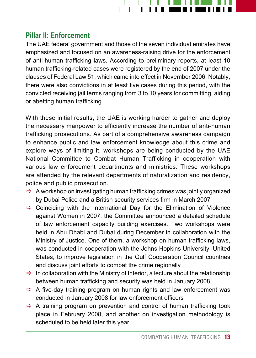

#### **Pillar II: Enforcement**

The UAE federal government and those of the seven individual emirates have emphasized and focused on an awareness-raising drive for the enforcement of anti-human trafficking laws. According to preliminary reports, at least 10 human trafficking-related cases were registered by the end of 2007 under the clauses of Federal Law 51, which came into effect in November 2006. Notably, there were also convictions in at least five cases during this period, with the convicted receiving jail terms ranging from 3 to 10 years for committing, aiding or abetting human trafficking.

With these initial results, the UAE is working harder to gather and deploy the necessary manpower to efficiently increase the number of anti-human trafficking prosecutions. As part of a comprehensive awareness campaign to enhance public and law enforcement knowledge about this crime and explore ways of limiting it, workshops are being conducted by the UAE National Committee to Combat Human Trafficking in cooperation with various law enforcement departments and ministries. These workshops are attended by the relevant departments of naturalization and residency, police and public prosecution.

- $\Rightarrow$  A workshop on investigating human trafficking crimes was jointly organized by Dubai Police and a British security services firm in March 2007
- $\Rightarrow$  Coinciding with the International Day for the Elimination of Violence against Women in 2007, the Committee announced a detailed schedule of law enforcement capacity building exercises. Two workshops were held in Abu Dhabi and Dubai during December in collaboration with the Ministry of Justice. One of them, a workshop on human trafficking laws, was conducted in cooperation with the Johns Hopkins University, United States, to improve legislation in the Gulf Cooperation Council countries and discuss joint efforts to combat the crime regionally
- $\Rightarrow$  In collaboration with the Ministry of Interior, a lecture about the relationship between human trafficking and security was held in January 2008
- $\Rightarrow$  A five-day training program on human rights and law enforcement was conducted in January 2008 for law enforcement officers
- $\Rightarrow$  A training program on prevention and control of human trafficking took place in February 2008, and another on investigation methodology is scheduled to be held later this year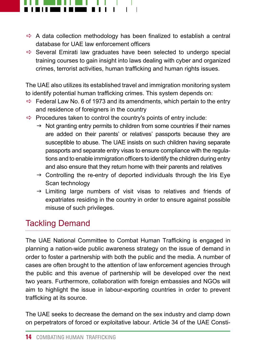

- $\Rightarrow$  A data collection methodology has been finalized to establish a central database for UAE law enforcement officers
- $\Rightarrow$  Several Emirati law graduates have been selected to undergo special training courses to gain insight into laws dealing with cyber and organized crimes, terrorist activities, human trafficking and human rights issues.

The UAE also utilizes its established travel and immigration monitoring system to identify potential human trafficking crimes. This system depends on:

- $\Rightarrow$  Federal Law No. 6 of 1973 and its amendments, which pertain to the entry and residence of foreigners in the country
- $\Rightarrow$  Procedures taken to control the country's points of entry include:
	- $\rightarrow$  Not granting entry permits to children from some countries if their names are added on their parents' or relatives' passports because they are susceptible to abuse. The UAE insists on such children having separate passports and separate entry visas to ensure compliance with the regulations and to enable immigration officers to identify the children during entry and also ensure that they return home with their parents and relatives
	- $\rightarrow$  Controlling the re-entry of deported individuals through the Iris Eye Scan technology
	- $\rightarrow$  Limiting large numbers of visit visas to relatives and friends of expatriates residing in the country in order to ensure against possible misuse of such privileges.

### Tackling Demand

The UAE National Committee to Combat Human Trafficking is engaged in planning a nation-wide public awareness strategy on the issue of demand in order to foster a partnership with both the public and the media. A number of cases are often brought to the attention of law enforcement agencies through the public and this avenue of partnership will be developed over the next two years. Furthermore, collaboration with foreign embassies and NGOs will aim to highlight the issue in labour-exporting countries in order to prevent trafficking at its source.

The UAE seeks to decrease the demand on the sex industry and clamp down on perpetrators of forced or exploitative labour. Article 34 of the UAE Consti-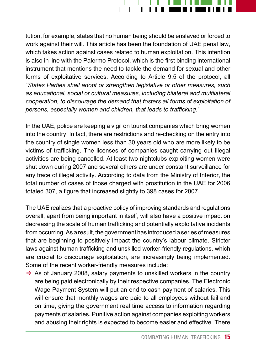

tution, for example, states that no human being should be enslaved or forced to work against their will. This article has been the foundation of UAE penal law, which takes action against cases related to human exploitation. This intention is also in line with the Palermo Protocol, which is the first binding international instrument that mentions the need to tackle the demand for sexual and other forms of exploitative services. According to Article 9.5 of the protocol, all "*States Parties shall adopt or strengthen legislative or other measures, such as educational, social or cultural measures, including bilateral and multilateral cooperation, to discourage the demand that fosters all forms of exploitation of persons, especially women and children, that leads to trafficking.*"

In the UAE, police are keeping a vigil on tourist companies which bring women into the country. In fact, there are restrictions and re-checking on the entry into the country of single women less than 30 years old who are more likely to be victims of trafficking. The licenses of companies caught carrying out illegal activities are being cancelled. At least two nightclubs exploiting women were shut down during 2007 and several others are under constant surveillance for any trace of illegal activity. According to data from the Ministry of Interior, the total number of cases of those charged with prostitution in the UAE for 2006 totaled 307, a figure that increased slightly to 398 cases for 2007.

The UAE realizes that a proactive policy of improving standards and regulations overall, apart from being important in itself, will also have a positive impact on decreasing the scale of human trafficking and potentially exploitative incidents from occurring. As a result, the government has introduced a series of measures that are beginning to positively impact the country's labour climate. Stricter laws against human trafficking and unskilled worker-friendly regulations, which are crucial to discourage exploitation, are increasingly being implemented. Some of the recent worker-friendly measures include:

 $\Rightarrow$  As of January 2008, salary payments to unskilled workers in the country are being paid electronically by their respective companies. The Electronic Wage Payment System will put an end to cash payment of salaries. This will ensure that monthly wages are paid to all employees without fail and on time, giving the government real time access to information regarding payments of salaries. Punitive action against companies exploiting workers and abusing their rights is expected to become easier and effective. There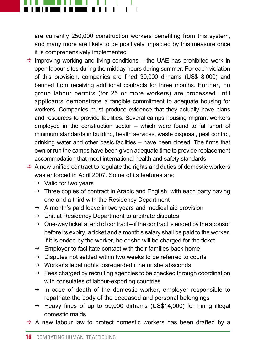

are currently 250,000 construction workers benefiting from this system, and many more are likely to be positively impacted by this measure once it is comprehensively implemented

- $\Rightarrow$  Improving working and living conditions the UAE has prohibited work in open labour sites during the midday hours during summer. For each violation of this provision, companies are fined 30,000 dirhams (US\$ 8,000) and banned from receiving additional contracts for three months. Further, no group labour permits (for 25 or more workers) are processed until applicants demonstrate a tangible commitment to adequate housing for workers. Companies must produce evidence that they actually have plans and resources to provide facilities. Several camps housing migrant workers employed in the construction sector – which were found to fall short of minimum standards in building, health services, waste disposal, pest control, drinking water and other basic facilities – have been closed. The firms that own or run the camps have been given adequate time to provide replacement accommodation that meet international health and safety standards
- $\Rightarrow$  A new unified contract to regulate the rights and duties of domestic workers was enforced in April 2007. Some of its features are:
	- $\rightarrow$  Valid for two years
	- $\rightarrow$  Three copies of contract in Arabic and English, with each party having one and a third with the Residency Department
	- $\rightarrow$  A month's paid leave in two years and medical aid provision
	- $\rightarrow$  Unit at Residency Department to arbitrate disputes
	- $\rightarrow$  One-way ticket at end of contract if the contract is ended by the sponsor before its expiry, a ticket and a month's salary shall be paid to the worker. If it is ended by the worker, he or she will be charged for the ticket
	- $\rightarrow$  Employer to facilitate contact with their families back home
	- $\rightarrow$  Disputes not settled within two weeks to be referred to courts
	- $\rightarrow$  Worker's legal rights disregarded if he or she absconds
	- $\rightarrow$  Fees charged by recruiting agencies to be checked through coordination with consulates of labour-exporting countries
	- $\rightarrow$  In case of death of the domestic worker, employer responsible to repatriate the body of the deceased and personal belongings
	- $\rightarrow$  Heavy fines of up to 50,000 dirhams (US\$14,000) for hiring illegal domestic maids
- $\Rightarrow$  A new labour law to protect domestic workers has been drafted by a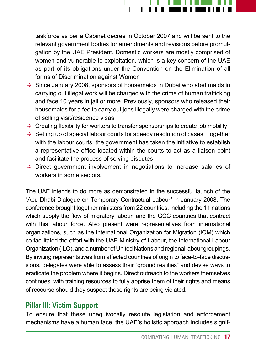

taskforce as per a Cabinet decree in October 2007 and will be sent to the relevant government bodies for amendments and revisions before promulgation by the UAE President. Domestic workers are mostly comprised of women and vulnerable to exploitation, which is a key concern of the UAE as part of its obligations under the Convention on the Elimination of all forms of Discrimination against Women

- $\Rightarrow$  Since January 2008, sponsors of housemaids in Dubai who abet maids in carrying out illegal work will be charged with the crime of human trafficking and face 10 years in jail or more. Previously, sponsors who released their housemaids for a fee to carry out jobs illegally were charged with the crime of selling visit/residence visas
- $\Rightarrow$  Creating flexibility for workers to transfer sponsorships to create job mobility
- $\Rightarrow$  Setting up of special labour courts for speedy resolution of cases. Together with the labour courts, the government has taken the initiative to establish a representative office located within the courts to act as a liaison point and facilitate the process of solving disputes
- $\Rightarrow$  Direct government involvement in negotiations to increase salaries of workers in some sectors**.**

The UAE intends to do more as demonstrated in the successful launch of the "Abu Dhabi Dialogue on Temporary Contractual Labour" in January 2008. The conference brought together ministers from 22 countries, including the 11 nations which supply the flow of migratory labour, and the GCC countries that contract with this labour force. Also present were representatives from international organizations, such as the International Organization for Migration (IOM) which co-facilitated the effort with the UAE Ministry of Labour, the International Labour Organization (ILO), and a number of United Nations and regional labour groupings. By inviting representatives from affected countries of origin to face-to-face discussions, delegates were able to assess their "ground realities" and devise ways to eradicate the problem where it begins. Direct outreach to the workers themselves continues, with training resources to fully apprise them of their rights and means of recourse should they suspect those rights are being violated.

#### **Pillar III: Victim Support**

To ensure that these unequivocally resolute legislation and enforcement mechanisms have a human face, the UAE's holistic approach includes signif-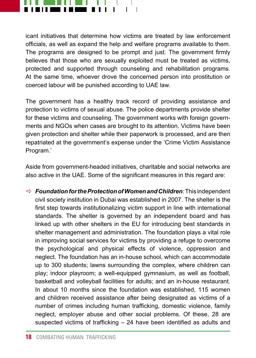

icant initiatives that determine how victims are treated by law enforcement officials, as well as expand the help and welfare programs available to them. The programs are designed to be prompt and just. The government firmly believes that those who are sexually exploited must be treated as victims, protected and supported through counseling and rehabilitation programs. At the same time, whoever drove the concerned person into prostitution or coerced labour will be punished according to UAE law.

The government has a healthy track record of providing assistance and protection to victims of sexual abuse. The police departments provide shelter for these victims and counseling. The government works with foreign governments and NGOs when cases are brought to its attention. Victims have been given protection and shelter while their paperwork is processed, and are then repatriated at the government's expense under the 'Crime Victim Assistance Program.'

Aside from government-headed initiatives, charitable and social networks are also active in the UAE. Some of the significant measures in this regard are:

a *Foundation for the Protection of Women and Children:* This independent civil society institution in Dubai was established in 2007. The shelter is the first step towards institutionalizing victim support in line with international standards. The shelter is governed by an independent board and has linked up with other shelters in the EU for introducing best standards in shelter management and administration. The foundation plays a vital role in improving social services for victims by providing a refuge to overcome the psychological and physical effects of violence, oppression and neglect. The foundation has an in-house school, which can accommodate up to 300 students; lawns surrounding the complex, where children can play; indoor playroom; a well-equipped gymnasium, as well as football, basketball and volleyball facilities for adults; and an in-house restaurant. In about 10 months since the foundation was established, 115 women and children received assistance after being designated as victims of a number of crimes including human trafficking, domestic violence, family neglect, employer abuse and other social problems. Of these, 28 are suspected victims of trafficking – 24 have been identified as adults and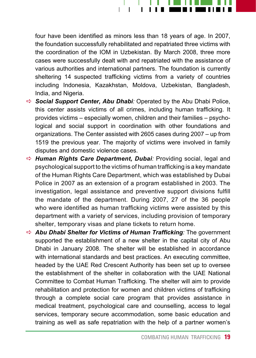

four have been identified as minors less than 18 years of age. In 2007, the foundation successfully rehabilitated and repatriated three victims with the coordination of the IOM in Uzbekistan. By March 2008, three more cases were successfully dealt with and repatriated with the assistance of various authorities and international partners. The foundation is currently sheltering 14 suspected trafficking victims from a variety of countries including Indonesia, Kazakhstan, Moldova, Uzbekistan, Bangladesh, India, and Nigeria.

- $\Rightarrow$  **Social Support Center, Abu Dhabi***:* Operated by the Abu Dhabi Police, this center assists victims of all crimes, including human trafficking. It provides victims – especially women, children and their families – psychological and social support in coordination with other foundations and organizations. The Center assisted with 2605 cases during 2007 – up from 1519 the previous year. The majority of victims were involved in family disputes and domestic violence cases.
- a *Human Rights Care Department, Dubai:* Providing social, legal and psychological support to the victims of human trafficking is a key mandate of the Human Rights Care Department, which was established by Dubai Police in 2007 as an extension of a program established in 2003. The investigation, legal assistance and preventive support divisions fulfill the mandate of the department. During 2007, 27 of the 36 people who were identified as human trafficking victims were assisted by this department with a variety of services, including provision of temporary shelter, temporary visas and plane tickets to return home.
- $\Rightarrow$  **Abu Dhabi Shelter for Victims of Human Trafficking:** The government supported the establishment of a new shelter in the capital city of Abu Dhabi in January 2008. The shelter will be established in accordance with international standards and best practices. An executing committee, headed by the UAE Red Crescent Authority has been set up to oversee the establishment of the shelter in collaboration with the UAE National Committee to Combat Human Trafficking. The shelter will aim to provide rehabilitation and protection for women and children victims of trafficking through a complete social care program that provides assistance in medical treatment, psychological care and counselling, access to legal services, temporary secure accommodation, some basic education and training as well as safe repatriation with the help of a partner women's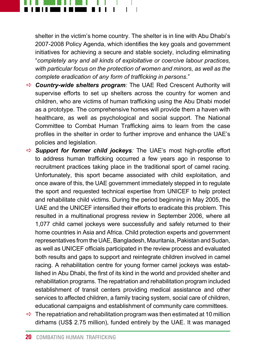

shelter in the victim's home country. The shelter is in line with Abu Dhabi's 2007-2008 Policy Agenda, which identifies the key goals and government initiatives for achieving a secure and stable society, including eliminating "*completely any and all kinds of exploitative or coercive labour practices, with particular focus on the protection of women and minors, as well as the complete eradication of any form of trafficking in persons*."

- $\Rightarrow$  **Country-wide shelters program**: The UAE Red Crescent Authority will supervise efforts to set up shelters across the country for women and children, who are victims of human trafficking using the Abu Dhabi model as a prototype. The comprehensive homes will provide them a haven with healthcare, as well as psychological and social support. The National Committee to Combat Human Trafficking aims to learn from the case profiles in the shelter in order to further improve and enhance the UAE's policies and legislation.
- a *Support for former child jockeys:* The UAE's most high-profile effort to address human trafficking occurred a few years ago in response to recruitment practices taking place in the traditional sport of camel racing. Unfortunately, this sport became associated with child exploitation, and once aware of this, the UAE government immediately stepped in to regulate the sport and requested technical expertise from UNICEF to help protect and rehabilitate child victims. During the period beginning in May 2005, the UAE and the UNICEF intensified their efforts to eradicate this problem. This resulted in a multinational progress review in September 2006, where all 1,077 child camel jockeys were successfully and safely returned to their home countries in Asia and Africa. Child protection experts and government representatives from the UAE, Bangladesh, Mauritania, Pakistan and Sudan, as well as UNICEF officials participated in the review process and evaluated both results and gaps to support and reintegrate children involved in camel racing. A rehabilitation centre for young former camel jockeys was established in Abu Dhabi, the first of its kind in the world and provided shelter and rehabilitation programs. The repatriation and rehabilitation program included establishment of transit centers providing medical assistance and other services to affected children, a family tracing system, social care of children, educational campaigns and establishment of community care committees.
- $\Rightarrow$  The repatriation and rehabilitation program was then estimated at 10 million dirhams (US\$ 2.75 million), funded entirely by the UAE. It was managed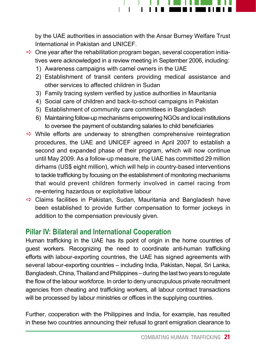

by the UAE authorities in association with the Ansar Burney Welfare Trust International in Pakistan and UNICEF.

- $\Rightarrow$  One year after the rehabilitation program began, several cooperation initiatives were acknowledged in a review meeting in September 2006, including:
	- 1) Awareness campaigns with camel owners in the UAE
	- 2) Establishment of transit centers providing medical assistance and other services to affected children in Sudan
	- 3) Family tracing system verified by justice authorities in Mauritania
	- 4) Social care of children and back-to-school campaigns in Pakistan
	- 5) Establishment of community care committees in Bangladesh
	- 6) Maintaining follow-up mechanisms empowering NGOs and local institutions to oversee the payment of outstanding salaries to child beneficiaries
- $\Rightarrow$  While efforts are underway to strengthen comprehensive reintegration procedures, the UAE and UNICEF agreed in April 2007 to establish a second and expanded phase of their program, which will now continue until May 2009. As a follow-up measure, the UAE has committed 29 million dirhams (US\$ eight million), which will help in country-based interventions to tackle trafficking by focusing on the establishment of monitoring mechanisms that would prevent children formerly involved in camel racing from re-entering hazardous or exploitative labour
- $\Rightarrow$  Claims facilities in Pakistan, Sudan, Mauritania and Bangladesh have been established to provide further compensation to former jockeys in addition to the compensation previously given.

#### **Pillar IV: Bilateral and International Cooperation**

Human trafficking in the UAE has its point of origin in the home countries of guest workers. Recognizing the need to coordinate anti-human trafficking efforts with labour-exporting countries, the UAE has signed agreements with several labour-exporting countries – including India, Pakistan, Nepal, Sri Lanka, Bangladesh, China, Thailand and Philippines – during the last two years to regulate the flow of the labour workforce. In order to deny unscrupulous private recruitment agencies from cheating and trafficking workers, all labour contract transactions will be processed by labour ministries or offices in the supplying countries.

Further, cooperation with the Philippines and India, for example, has resulted in these two countries announcing their refusal to grant emigration clearance to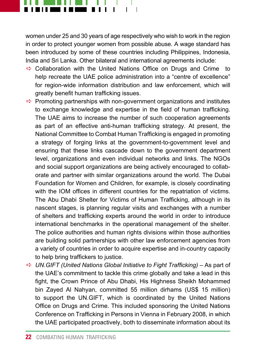

women under 25 and 30 years of age respectively who wish to work in the region in order to protect younger women from possible abuse. A wage standard has been introduced by some of these countries including Philippines, Indonesia, India and Sri Lanka. Other bilateral and international agreements include:

- $\Rightarrow$  Collaboration with the United Nations Office on Drugs and Crime to help recreate the UAE police administration into a "centre of excellence" for region-wide information distribution and law enforcement, which will greatly benefit human trafficking issues.
- $\Rightarrow$  Promoting partnerships with non-government organizations and institutes to exchange knowledge and expertise in the field of human trafficking. The UAE aims to increase the number of such cooperation agreements as part of an effective anti-human trafficking strategy. At present, the National Committee to Combat Human Trafficking is engaged in promoting a strategy of forging links at the government-to-government level and ensuring that these links cascade down to the government department level, organizations and even individual networks and links. The NGOs and social support organizations are being actively encouraged to collaborate and partner with similar organizations around the world. The Dubai Foundation for Women and Children, for example, is closely coordinating with the IOM offices in different countries for the repatriation of victims. The Abu Dhabi Shelter for Victims of Human Trafficking, although in its nascent stages, is planning regular visits and exchanges with a number of shelters and trafficking experts around the world in order to introduce international benchmarks in the operational management of the shelter. The police authorities and human rights divisions within those authorities are building solid partnerships with other law enforcement agencies from a variety of countries in order to acquire expertise and in-country capacity to help bring traffickers to justice.
- a *UN.GIFT (United Nations Global Initiative to Fight Trafficking)* As part of the UAE's commitment to tackle this crime globally and take a lead in this fight, the Crown Prince of Abu Dhabi, His Highness Sheikh Mohammed bin Zayed Al Nahyan, committed 55 million dirhams (US\$ 15 million) to support the UN.GIFT, which is coordinated by the United Nations Office on Drugs and Crime. This included sponsoring the United Nations Conference on Trafficking in Persons in Vienna in February 2008, in which the UAE participated proactively, both to disseminate information about its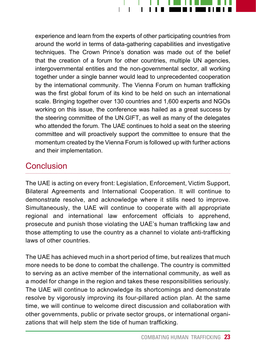

experience and learn from the experts of other participating countries from around the world in terms of data-gathering capabilities and investigative techniques. The Crown Prince's donation was made out of the belief that the creation of a forum for other countries, multiple UN agencies, intergovernmental entities and the non-governmental sector, all working together under a single banner would lead to unprecedented cooperation by the international community. The Vienna Forum on human trafficking was the first global forum of its kind to be held on such an international scale. Bringing together over 130 countries and 1,600 experts and NGOs working on this issue, the conference was hailed as a great success by the steering committee of the UN.GIFT, as well as many of the delegates who attended the forum. The UAE continues to hold a seat on the steering committee and will proactively support the committee to ensure that the momentum created by the Vienna Forum is followed up with further actions and their implementation.

#### **Conclusion**

The UAE is acting on every front: Legislation, Enforcement, Victim Support, Bilateral Agreements and International Cooperation. It will continue to demonstrate resolve, and acknowledge where it stills need to improve. Simultaneously, the UAE will continue to cooperate with all appropriate regional and international law enforcement officials to apprehend, prosecute and punish those violating the UAE's human trafficking law and those attempting to use the country as a channel to violate anti-trafficking laws of other countries.

The UAE has achieved much in a short period of time, but realizes that much more needs to be done to combat the challenge. The country is committed to serving as an active member of the international community, as well as a model for change in the region and takes these responsibilities seriously. The UAE will continue to acknowledge its shortcomings and demonstrate resolve by vigorously improving its four-pillared action plan. At the same time, we will continue to welcome direct discussion and collaboration with other governments, public or private sector groups, or international organizations that will help stem the tide of human trafficking.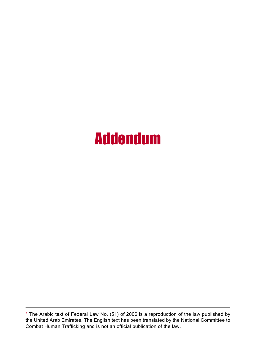### Addendum

<sup>\*</sup> The Arabic text of Federal Law No. (51) of 2006 is a reproduction of the law published by the United Arab Emirates. The English text has been translated by the National Committee to Combat Human Trafficking and is not an official publication of the law.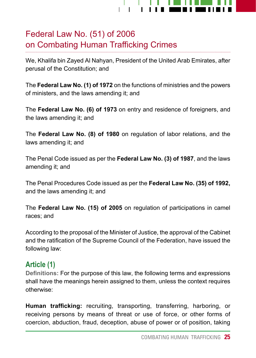

### Federal Law No. (51) of 2006 on Combating Human Trafficking Crimes

We, Khalifa bin Zayed Al Nahyan, President of the United Arab Emirates, after perusal of the Constitution; and

The **Federal Law No. (1) of 1972** on the functions of ministries and the powers of ministers, and the laws amending it; and

The **Federal Law No. (6) of 1973** on entry and residence of foreigners, and the laws amending it; and

The **Federal Law No. (8) of 1980** on regulation of labor relations, and the laws amending it; and

The Penal Code issued as per the **Federal Law No. (3) of 1987**, and the laws amending it; and

The Penal Procedures Code issued as per the **Federal Law No. (35) of 1992,** and the laws amending it; and

The **Federal Law No. (15) of 2005** on regulation of participations in camel races; and

According to the proposal of the Minister of Justice, the approval of the Cabinet and the ratification of the Supreme Council of the Federation, have issued the following law:

#### **Article (1)**

**Definitions:** For the purpose of this law, the following terms and expressions shall have the meanings herein assigned to them, unless the context requires otherwise:

**Human trafficking:** recruiting, transporting, transferring, harboring, or receiving persons by means of threat or use of force, or other forms of coercion, abduction, fraud, deception, abuse of power or of position, taking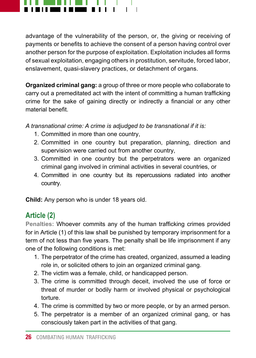

advantage of the vulnerability of the person, or, the giving or receiving of payments or benefits to achieve the consent of a person having control over another person for the purpose of exploitation. Exploitation includes all forms of sexual exploitation, engaging others in prostitution, servitude, forced labor, enslavement, quasi-slavery practices, or detachment of organs.

**Organized criminal gang:** a group of three or more people who collaborate to carry out a premeditated act with the intent of committing a human trafficking crime for the sake of gaining directly or indirectly a financial or any other material benefit.

*A transnational crime: A crime is adjudged to be transnational if it is:*

- 1. Committed in more than one country,
- 2. Committed in one country but preparation, planning, direction and supervision were carried out from another country,
- 3. Committed in one country but the perpetrators were an organized criminal gang involved in criminal activities in several countries, or
- 4. Committed in one country but its repercussions radiated into another country.

**Child:** Any person who is under 18 years old.

#### **Article (2)**

**Penalties:** Whoever commits any of the human trafficking crimes provided for in Article (1) of this law shall be punished by temporary imprisonment for a term of not less than five years. The penalty shall be life imprisonment if any one of the following conditions is met:

- 1. The perpetrator of the crime has created, organized, assumed a leading role in, or solicited others to join an organized criminal gang.
- 2. The victim was a female, child, or handicapped person.
- 3. The crime is committed through deceit, involved the use of force or threat of murder or bodily harm or involved physical or psychological torture.
- 4. The crime is committed by two or more people, or by an armed person.
- 5. The perpetrator is a member of an organized criminal gang, or has consciously taken part in the activities of that gang.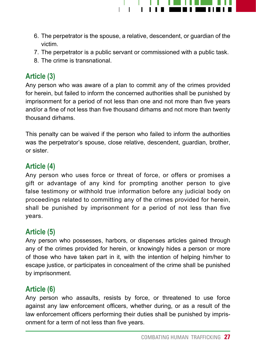

- 6. The perpetrator is the spouse, a relative, descendent, or guardian of the victim.
- 7. The perpetrator is a public servant or commissioned with a public task.
- 8. The crime is transnational.

#### **Article (3)**

Any person who was aware of a plan to commit any of the crimes provided for herein, but failed to inform the concerned authorities shall be punished by imprisonment for a period of not less than one and not more than five years and/or a fine of not less than five thousand dirhams and not more than twenty thousand dirhams.

This penalty can be waived if the person who failed to inform the authorities was the perpetrator's spouse, close relative, descendent, guardian, brother, or sister.

#### **Article (4)**

Any person who uses force or threat of force, or offers or promises a gift or advantage of any kind for prompting another person to give false testimony or withhold true information before any judicial body on proceedings related to committing any of the crimes provided for herein, shall be punished by imprisonment for a period of not less than five years.

#### **Article (5)**

Any person who possesses, harbors, or dispenses articles gained through any of the crimes provided for herein, or knowingly hides a person or more of those who have taken part in it, with the intention of helping him/her to escape justice, or participates in concealment of the crime shall be punished by imprisonment.

#### **Article (6)**

Any person who assaults, resists by force, or threatened to use force against any law enforcement officers, whether during, or as a result of the law enforcement officers performing their duties shall be punished by imprisonment for a term of not less than five years.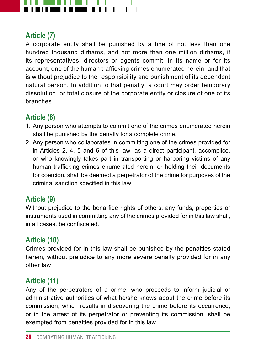

#### **Article (7)**

A corporate entity shall be punished by a fine of not less than one hundred thousand dirhams, and not more than one million dirhams, if its representatives, directors or agents commit, in its name or for its account, one of the human trafficking crimes enumerated herein; and that is without prejudice to the responsibility and punishment of its dependent natural person. In addition to that penalty, a court may order temporary dissolution, or total closure of the corporate entity or closure of one of its branches.

#### **Article (8)**

- 1. Any person who attempts to commit one of the crimes enumerated herein shall be punished by the penalty for a complete crime.
- 2. Any person who collaborates in committing one of the crimes provided for in Articles 2, 4, 5 and 6 of this law, as a direct participant, accomplice, or who knowingly takes part in transporting or harboring victims of any human trafficking crimes enumerated herein, or holding their documents for coercion, shall be deemed a perpetrator of the crime for purposes of the criminal sanction specified in this law.

#### **Article (9)**

Without prejudice to the bona fide rights of others, any funds, properties or instruments used in committing any of the crimes provided for in this law shall, in all cases, be confiscated.

#### **Article (10)**

Crimes provided for in this law shall be punished by the penalties stated herein, without prejudice to any more severe penalty provided for in any other law.

#### **Article (11)**

Any of the perpetrators of a crime, who proceeds to inform judicial or administrative authorities of what he/she knows about the crime before its commission, which results in discovering the crime before its occurrence, or in the arrest of its perpetrator or preventing its commission, shall be exempted from penalties provided for in this law.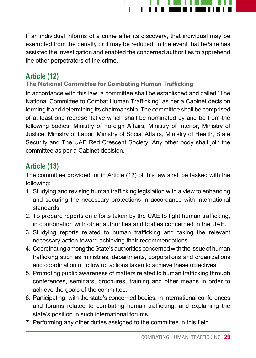

If an individual informs of a crime after its discovery, that individual may be exempted from the penalty or it may be reduced, in the event that he/she has assisted the investigation and enabled the concerned authorities to apprehend the other perpetrators of the crime.

#### **Article (12)**

#### **The National Committee for Combating Human Trafficking**

In accordance with this law, a committee shall be established and called "The National Committee to Combat Human Trafficking" as per a Cabinet decision forming it and determining its chairmanship. The committee shall be comprised of at least one representative which shall be nominated by and be from the following bodies: Ministry of Foreign Affairs, Ministry of Interior, Ministry of Justice, Ministry of Labor, Ministry of Social Affairs, Ministry of Health, State Security and The UAE Red Crescent Society. Any other body shall join the committee as per a Cabinet decision.

#### **Article (13)**

The committee provided for in Article (12) of this law shall be tasked with the following:

- 1. Studying and revising human trafficking legislation with a view to enhancing and securing the necessary protections in accordance with international standards.
- 2. To prepare reports on efforts taken by the UAE to fight human trafficking, in coordination with other authorities and bodies concerned in the UAE.
- 3. Studying reports related to human trafficking and taking the relevant necessary action toward achieving their recommendations.
- 4. Coordinating among the State's authorities concerned with the issue of human trafficking such as ministries, departments, corporations and organizations and coordination of follow up actions taken to achieve these objectives.
- 5. Promoting public awareness of matters related to human trafficking through conferences, seminars, brochures, training and other means in order to achieve the goals of the committee.
- 6. Participating, with the state's concerned bodies, in international conferences and forums related to combating human trafficking, and explaining the state's position in such international forums.
- 7. Performing any other duties assigned to the committee in this field.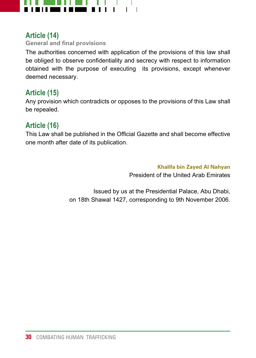

#### **Article (14)**

**General and final provisions**

The authorities concerned with application of the provisions of this law shall be obliged to observe confidentiality and secrecy with respect to information obtained with the purpose of executing its provisions, except whenever deemed necessary.

#### **Article (15)**

Any provision which contradicts or opposes to the provisions of this Law shall be repealed.

#### **Article (16)**

This Law shall be published in the Official Gazette and shall become effective one month after date of its publication.

**Khalifa bin Zayed Al Nahyan** 

President of the United Arab Emirates

Issued by us at the Presidential Palace, Abu Dhabi, on 18th Shawal 1427, corresponding to 9th November 2006.